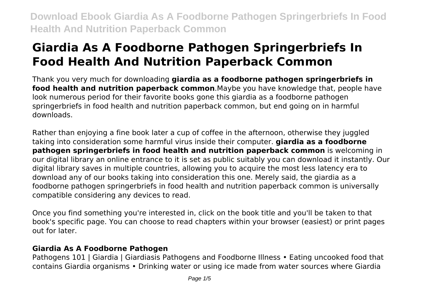# **Giardia As A Foodborne Pathogen Springerbriefs In Food Health And Nutrition Paperback Common**

Thank you very much for downloading **giardia as a foodborne pathogen springerbriefs in food health and nutrition paperback common**.Maybe you have knowledge that, people have look numerous period for their favorite books gone this giardia as a foodborne pathogen springerbriefs in food health and nutrition paperback common, but end going on in harmful downloads.

Rather than enjoying a fine book later a cup of coffee in the afternoon, otherwise they juggled taking into consideration some harmful virus inside their computer. **giardia as a foodborne pathogen springerbriefs in food health and nutrition paperback common** is welcoming in our digital library an online entrance to it is set as public suitably you can download it instantly. Our digital library saves in multiple countries, allowing you to acquire the most less latency era to download any of our books taking into consideration this one. Merely said, the giardia as a foodborne pathogen springerbriefs in food health and nutrition paperback common is universally compatible considering any devices to read.

Once you find something you're interested in, click on the book title and you'll be taken to that book's specific page. You can choose to read chapters within your browser (easiest) or print pages out for later.

# **Giardia As A Foodborne Pathogen**

Pathogens 101 | Giardia | Giardiasis Pathogens and Foodborne Illness • Eating uncooked food that contains Giardia organisms • Drinking water or using ice made from water sources where Giardia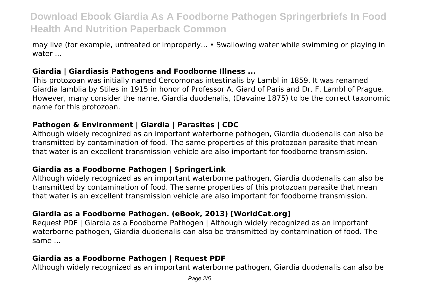may live (for example, untreated or improperly... • Swallowing water while swimming or playing in water ...

### **Giardia | Giardiasis Pathogens and Foodborne Illness ...**

This protozoan was initially named Cercomonas intestinalis by Lambl in 1859. It was renamed Giardia lamblia by Stiles in 1915 in honor of Professor A. Giard of Paris and Dr. F. Lambl of Prague. However, many consider the name, Giardia duodenalis, (Davaine 1875) to be the correct taxonomic name for this protozoan.

#### **Pathogen & Environment | Giardia | Parasites | CDC**

Although widely recognized as an important waterborne pathogen, Giardia duodenalis can also be transmitted by contamination of food. The same properties of this protozoan parasite that mean that water is an excellent transmission vehicle are also important for foodborne transmission.

#### **Giardia as a Foodborne Pathogen | SpringerLink**

Although widely recognized as an important waterborne pathogen, Giardia duodenalis can also be transmitted by contamination of food. The same properties of this protozoan parasite that mean that water is an excellent transmission vehicle are also important for foodborne transmission.

### **Giardia as a Foodborne Pathogen. (eBook, 2013) [WorldCat.org]**

Request PDF | Giardia as a Foodborne Pathogen | Although widely recognized as an important waterborne pathogen, Giardia duodenalis can also be transmitted by contamination of food. The same ...

## **Giardia as a Foodborne Pathogen | Request PDF**

Although widely recognized as an important waterborne pathogen, Giardia duodenalis can also be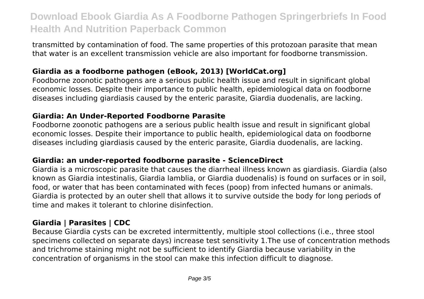transmitted by contamination of food. The same properties of this protozoan parasite that mean that water is an excellent transmission vehicle are also important for foodborne transmission.

# **Giardia as a foodborne pathogen (eBook, 2013) [WorldCat.org]**

Foodborne zoonotic pathogens are a serious public health issue and result in significant global economic losses. Despite their importance to public health, epidemiological data on foodborne diseases including giardiasis caused by the enteric parasite, Giardia duodenalis, are lacking.

## **Giardia: An Under-Reported Foodborne Parasite**

Foodborne zoonotic pathogens are a serious public health issue and result in significant global economic losses. Despite their importance to public health, epidemiological data on foodborne diseases including giardiasis caused by the enteric parasite, Giardia duodenalis, are lacking.

## **Giardia: an under-reported foodborne parasite - ScienceDirect**

Giardia is a microscopic parasite that causes the diarrheal illness known as giardiasis. Giardia (also known as Giardia intestinalis, Giardia lamblia, or Giardia duodenalis) is found on surfaces or in soil, food, or water that has been contaminated with feces (poop) from infected humans or animals. Giardia is protected by an outer shell that allows it to survive outside the body for long periods of time and makes it tolerant to chlorine disinfection.

# **Giardia | Parasites | CDC**

Because Giardia cysts can be excreted intermittently, multiple stool collections (i.e., three stool specimens collected on separate days) increase test sensitivity 1.The use of concentration methods and trichrome staining might not be sufficient to identify Giardia because variability in the concentration of organisms in the stool can make this infection difficult to diagnose.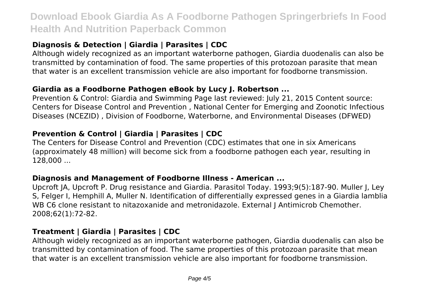# **Diagnosis & Detection | Giardia | Parasites | CDC**

Although widely recognized as an important waterborne pathogen, Giardia duodenalis can also be transmitted by contamination of food. The same properties of this protozoan parasite that mean that water is an excellent transmission vehicle are also important for foodborne transmission.

#### **Giardia as a Foodborne Pathogen eBook by Lucy J. Robertson ...**

Prevention & Control: Giardia and Swimming Page last reviewed: July 21, 2015 Content source: Centers for Disease Control and Prevention , National Center for Emerging and Zoonotic Infectious Diseases (NCEZID) , Division of Foodborne, Waterborne, and Environmental Diseases (DFWED)

### **Prevention & Control | Giardia | Parasites | CDC**

The Centers for Disease Control and Prevention (CDC) estimates that one in six Americans (approximately 48 million) will become sick from a foodborne pathogen each year, resulting in 128,000 ...

#### **Diagnosis and Management of Foodborne Illness - American ...**

Upcroft JA, Upcroft P. Drug resistance and Giardia. Parasitol Today. 1993;9(5):187-90. Muller J, Ley S, Felger I, Hemphill A, Muller N. Identification of differentially expressed genes in a Giardia lamblia WB C6 clone resistant to nitazoxanide and metronidazole. External J Antimicrob Chemother. 2008;62(1):72-82.

### **Treatment | Giardia | Parasites | CDC**

Although widely recognized as an important waterborne pathogen, Giardia duodenalis can also be transmitted by contamination of food. The same properties of this protozoan parasite that mean that water is an excellent transmission vehicle are also important for foodborne transmission.